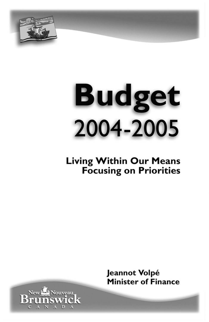

New Late Nouveau

Bruñ

# **Budget** 2004-2005

# **Living Within Our Means Focusing on Priorities**

Jeannot Volpé **Minister of Finance**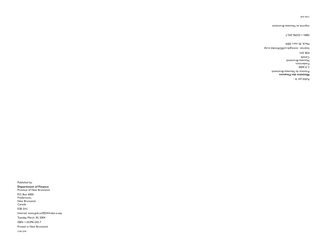Published by:

**Department of Finance** Province of New Brunswick P.O. Box 6000 Fredericton, New Brunswick Canada E3B 5H1 Internet: www.gnb.ca/0024/index-e.asp Tuesday, March 30, 2004 ISBN 1-55396-242-7 Printed in New Brunswick CNB 2540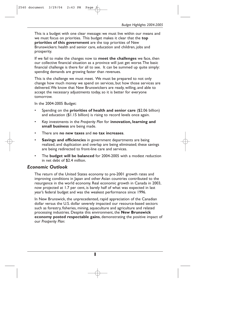This is a budget with one clear message: we must live within our means and we must focus on priorities. This budget makes it clear that the **top priorities of this government** are the top priorities of New Brunswickers: health and senior care, education and children, jobs and prosperity.

If we fail to make the changes now to **meet the challenges** we face, then our collective financial situation as a province will just get worse.The basic financial challenge is there for all to see. It can be summed up quite simply: spending demands are growing faster than revenues.

This is the challenge we must meet. We must be prepared to not only change how much money we spend on services, but how those services are delivered.We know that New Brunswickers are ready, willing, and able to accept the necessary adjustments today, so it is better for everyone tomorrow.

In the 2004-2005 Budget:

- Spending on the **priorities of health and senior care** (\$2.06 billion) and education (\$1.15 billion) is rising to record levels once again.
- Key investments in the *Prosperity Plan* for **innovation, learning and small business** are being made.
- There are **no new taxes** and **no tax increases**.
- **Savings and efficiencies** in government departments are being realized, and duplication and overlap are being eliminated; these savings are being redirected to front-line care and services.
- The **budget will be balanced** for 2004-2005 with a modest reduction in net debt of \$2.4 million.

#### *Economic Outlook*

The return of the United States economy to pre-2001 growth rates and improving conditions in Japan and other Asian countries contributed to the resurgence in the world economy. Real economic growth in Canada in 2003, now projected at 1.7 per cent, is barely half of what was expected in last year's federal budget and was the weakest performance since 1996.

In New Brunswick, the unprecedented, rapid appreciation of the Canadian dollar versus the U.S. dollar severely impacted our resource-based sectors such as forestry, fisheries, mining, aquaculture and agriculture and related processing industries. Despite this environment, the **New Brunswick economy posted respectable gains**, demonstrating the positive impact of our *Prosperity Plan*:

**1**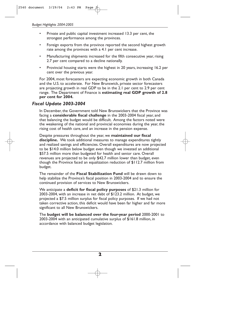- Private and public capital investment increased 13.3 per cent, the strongest performance among the provinces.
- Foreign exports from the province reported the second highest growth rate among the provinces with a 4.1 per cent increase.
- Manufacturing shipments increased for the fifth consecutive year, rising 2.7 per cent compared to a decline nationally.
- Provincial housing starts were the highest in 20 years, increasing 16.2 per cent over the previous year.

For 2004, most forecasters are expecting economic growth in both Canada and the U.S. to accelerate. For New Brunswick, private sector forecasters are projecting growth in real GDP to be in the 2.1 per cent to 2.9 per cent range. The Department of Finance is **estimating real GDP growth of 2.8 per cent for 2004.**

# *Fiscal Update 2003-2004*

In December, the Government told New Brunswickers that the Province was facing a **considerable fiscal challenge** in the 2003-2004 fiscal year, and that balancing the budget would be difficult. Among the factors noted were the weakening of the national and provincial economies during the year, the rising cost of health care, and an increase in the pension expense.

Despite pressures throughout the year, we **maintained our fiscal discipline.** We took additional measures to manage expenditures tightly and realized savings and efficiencies. Overall expenditures are now projected to be \$14.0 million below budget even though we invested an additional \$57.5 million more than budgeted for health and senior care. Overall revenues are projected to be only \$42.7 million lower than budget, even though the Province faced an equalization reduction of \$112.7 million from budget.

The remainder of the **Fiscal Stabilization Fund** will be drawn down to help stabilize the Province's fiscal position in 2003-2004 and to ensure the continued provision of services to New Brunswickers.

We anticipate a **deficit for fiscal policy purposes** of \$21.3 million for 2003-2004, with an increase in net debt of \$123.2 million. At budget, we projected a \$7.5 million surplus for fiscal policy purposes. If we had not taken corrective action, this deficit would have been far higher and far more significant to all New Brunswickers.

The **budget will be balanced over the four-year period** 2000-2001 to 2003-2004 with an anticipated cumulative surplus of \$161.8 million, in accordance with balanced budget legislation.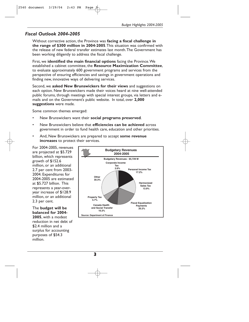# *Fiscal Outlook 2004-2005*

Without corrective action, the Province was **facing a fiscal challenge in the range of \$300 million in 2004-2005**.This situation was confirmed with the release of new federal transfer estimates last month.The Government has been working diligently to address the fiscal challenge.

First, we **identified the main financial options** facing the Province.We established a cabinet committee, the **Resource Maximization Committee**, to evaluate approximately 600 government programs and services from the perspective of ensuring efficiencies and savings in government operations and finding new, innovative ways of delivering services.

Second, we **asked New Brunswickers for their views** and suggestions on each option. New Brunswickers made their voices heard at nine well-attended public forums, through meetings with special interest groups, via letters and emails and on the Government's public website. In total, over **2,000 suggestions** were made.

Some common themes emerged:

- New Brunswickers want their **social programs preserved**.
- New Brunswickers believe that **efficiencies can be achieved** across government in order to fund health care, education and other priorities.
- And, New Brunswickers are prepared to accept **some revenue increases** to protect their services.

For 2004-2005, revenues are projected at \$5.729 billion, which represents growth of \$152.6 million, or an additional 2.7 per cent from 2003- 2004. Expenditures for 2004-2005 are estimated at \$5.727 billion. This represents a year-overyear increase of \$128.9 million, or an additional 2.3 per cent.

The **budget will be balanced for 2004- 2005**, with a modest reduction in net debt of \$2.4 million and a surplus for accounting purposes of \$54.3 million.

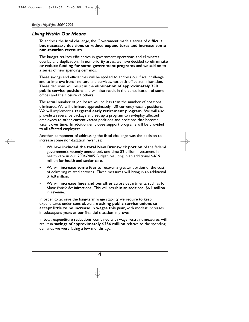# *Living Within Our Means*

To address the fiscal challenge, the Government made a series of **difficult but necessary decisions to reduce expenditures and increase some non-taxation revenues**.

The budget realizes efficiencies in government operations and eliminates overlap and duplication. In non-priority areas, we have decided to **eliminate or reduce funding for some government programs** and we said no to a series of new spending demands.

These savings and efficiencies will be applied to address our fiscal challenge and to improve front-line care and services, not back-office administration. These decisions will result in the **elimination of approximately 750 public service positions** and will also result in the consolidation of some offices and the closure of others.

The actual number of job losses will be less than the number of positions eliminated.We will eliminate approximately 130 currently vacant positions. We will implement a **targeted early retirement program**. We will also provide a severance package and set up a program to re-deploy affected employees to other current vacant positions and positions that become vacant over time. In addition, employee support programs will be provided to all affected employees.

Another component of addressing the fiscal challenge was the decision to increase some non-taxation revenues:

- We have **included the total New Brunswick portion** of the federal government's recently-announced, one-time \$2 billion investment in health care in our 2004-2005 Budget, resulting in an additional \$46.9 million for health and senior care.
- We will **increase some fees** to recover a greater portion of the cost of delivering related services. These measures will bring in an additional \$16.8 million.
- We will **increase fines and penalties** across departments, such as for *Motor Vehicle Act* infractions. This will result in an additional \$6.1 million in revenue.

In order to achieve the long-term wage stability we require to keep expenditures under control, we are **asking public service unions to accept little to no increase in wages this year**, with modest increases in subsequent years as our financial situation improves.

In total, expenditure reductions, combined with wage restraint measures, will result in **savings of approximately \$266 million** relative to the spending demands we were facing a few months ago.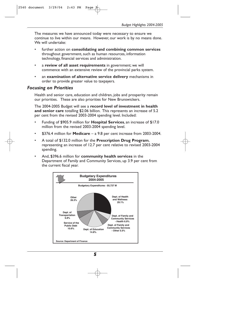The measures we have announced today were necessary to ensure we continue to live within our means. However, our work is by no means done. We will undertake:

- further action on **consolidating and combining common services** throughout government, such as human resources, information technology, financial services and administration.
- a **review of all asset requirements** in government; we will commence with an extensive review of the provincial parks system.
- an **examination of alternative service delivery** mechanisms in order to provide greater value to taxpayers.

#### *Focusing on Priorities*

Health and senior care, education and children, jobs and prosperity remain our priorities. These are also priorities for New Brunswickers.

The 2004-2005 Budget will see a **record level of investment in health and senior care** totalling \$2.06 billion. This represents an increase of 5.2 per cent from the revised 2003-2004 spending level. Included:

- Funding of \$905.9 million for **Hospital Services**, an increase of \$17.0 million from the revised 2003-2004 spending level.
- \$376.4 million for **Medicare** a 9.8 per cent increase from 2003-2004.
- A total of \$132.0 million for the **Prescription Drug Program**, representing an increase of 12.7 per cent relative to revised 2003-2004 spending.
- And, \$396.6 million for **community health services** in the Department of Family and Community Services, up 3.9 per cent from the current fiscal year.

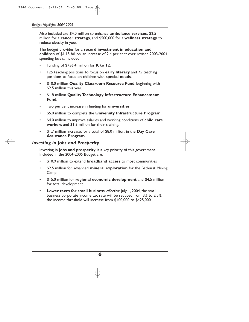Also included are \$4.0 million to enhance **ambulance services,** \$2.5 million for a **cancer strategy**, and \$500,000 for a **wellness strategy** to reduce obesity in youth.

The budget provides for a **record investment in education and children** of \$1.15 billion, an increase of 2.4 per cent over revised 2003-2004 spending levels. Included:

- Funding of \$736.4 million for **K to 12**.
- 125 teaching positions to focus on **early literacy** and 75 teaching positions to focus on children with **special needs**.
- \$10.0 million **Quality Classroom Resource Fund**, beginning with \$2.5 million this year.
- \$1.8 million **Quality Technology Infrastructure Enhancement Fund**.
- Two per cent increase in funding for **universities**.
- \$5.0 million to complete the **University Infrastructure Program**.
- \$4.0 million to improve salaries and working conditions of **child care workers** and \$1.3 million for their training.
- \$1.7 million increase, for a total of \$8.0 million, in the **Day Care Assistance Program**.

#### *Investing in Jobs and Prosperity*

Investing in **jobs and prosperity** is a key priority of this government. Included in the 2004-2005 Budget are:

- \$10.9 million to extend **broadband access** to most communities
- \$2.5 million for advanced **mineral exploration** for the Bathurst Mining Camp
- \$15.0 million for **regional economic development** and \$4.5 million for total development
- **Lower taxes for small business:** effective July 1, 2004, the small business corporate income tax rate will be reduced from 3% to 2.5%; the income threshold will increase from \$400,000 to \$425,000.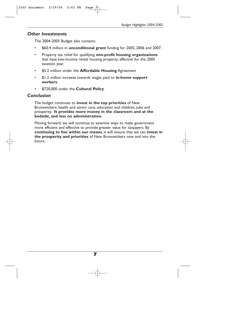### *Other Investments*

The 2004-2005 Budget also contains:

- \$60.4 million in **unconditional grant** funding for 2005, 2006 and 2007.
- Property tax relief for qualifying **non-profit housing organizations** that have low-income rental housing property; effective for the 2005 taxation year.
- \$5.2 million under the **Affordable Housing** Agreement
- \$1.2 million increase towards wages paid to **in-home support workers**.
- \$720,000 under the **Cultural Policy**.

# *Conclusion*

The budget continues to **invest in the top priorities** of New Brunswickers: health and senior care, education and children, jobs and prosperity. **It provides more money in the classroom and at the bedside, and less on administration.**

Moving forward, we will continue to examine ways to make government more efficient and effective to provide greater value for taxpayers. By **continuing to live within our means**, it will ensure that we can **invest in the prosperity and priorities** of New Brunswickers now and into the future.